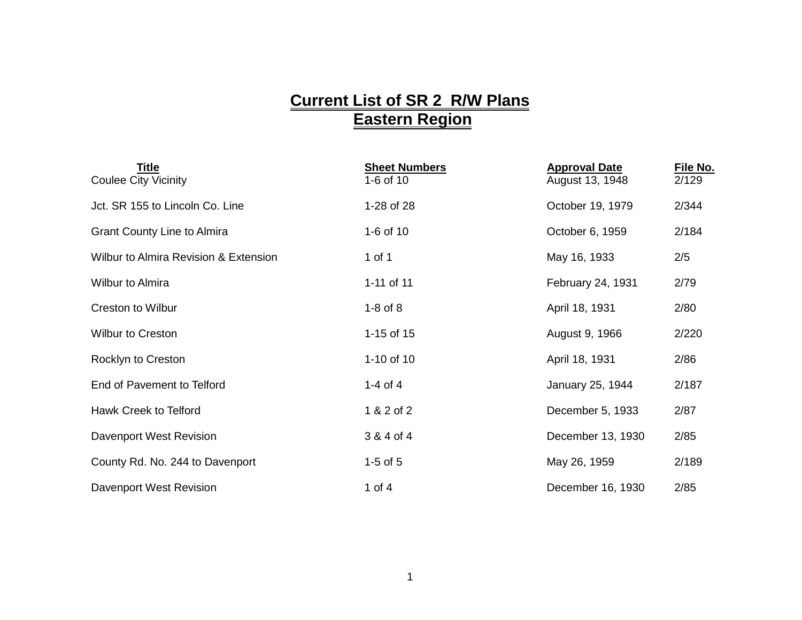## **Current List of SR 2 R/W Plans Eastern Region**

| Title<br><b>Coulee City Vicinity</b>             | <b>Sheet Numbers</b><br>1-6 of 10 | <b>Approval Date</b><br>August 13, 1948 | File No.<br>2/129 |
|--------------------------------------------------|-----------------------------------|-----------------------------------------|-------------------|
| Jct. SR 155 to Lincoln Co. Line                  | 1-28 of 28                        | October 19, 1979                        | 2/344             |
| <b>Grant County Line to Almira</b>               | 1-6 of 10                         | October 6, 1959                         | 2/184             |
| <b>Wilbur to Almira Revision &amp; Extension</b> | 1 of 1                            | May 16, 1933                            | 2/5               |
| <b>Wilbur to Almira</b>                          | 1-11 of 11                        | February 24, 1931                       | 2/79              |
| <b>Creston to Wilbur</b>                         | $1-8$ of $8$                      | April 18, 1931                          | 2/80              |
| <b>Wilbur to Creston</b>                         | 1-15 of 15                        | August 9, 1966                          | 2/220             |
| Rocklyn to Creston                               | 1-10 of 10                        | April 18, 1931                          | 2/86              |
| End of Pavement to Telford                       | 1-4 of 4                          | January 25, 1944                        | 2/187             |
| Hawk Creek to Telford                            | 1 & 2 of 2                        | December 5, 1933                        | 2/87              |
| Davenport West Revision                          | 3 & 4 of 4                        | December 13, 1930                       | 2/85              |
| County Rd. No. 244 to Davenport                  | $1-5$ of $5$                      | May 26, 1959                            | 2/189             |
| Davenport West Revision                          | 1 of $4$                          | December 16, 1930                       | 2/85              |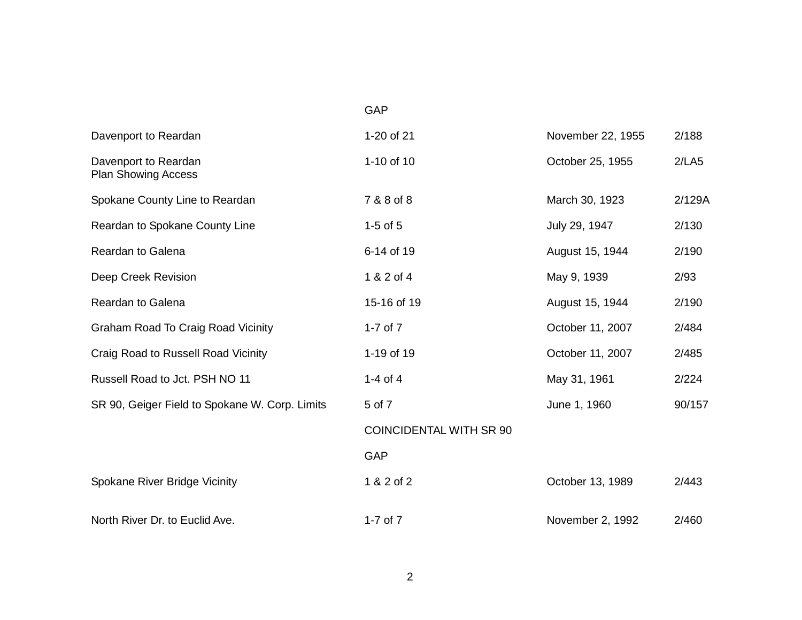| Davenport to Reardan                               | 1-20 of 21                     | November 22, 1955 | 2/188  |
|----------------------------------------------------|--------------------------------|-------------------|--------|
| Davenport to Reardan<br><b>Plan Showing Access</b> | 1-10 of 10                     | October 25, 1955  | 2/LA5  |
| Spokane County Line to Reardan                     | 7 & 8 of 8                     | March 30, 1923    | 2/129A |
| Reardan to Spokane County Line                     | $1-5$ of $5$                   | July 29, 1947     | 2/130  |
| Reardan to Galena                                  | 6-14 of 19                     | August 15, 1944   | 2/190  |
| Deep Creek Revision                                | 1 & 2 of 4                     | May 9, 1939       | 2/93   |
| <b>Reardan to Galena</b>                           | 15-16 of 19                    | August 15, 1944   | 2/190  |
| <b>Graham Road To Craig Road Vicinity</b>          | 1-7 of $7$                     | October 11, 2007  | 2/484  |
| Craig Road to Russell Road Vicinity                | 1-19 of 19                     | October 11, 2007  | 2/485  |
| Russell Road to Jct. PSH NO 11                     | 1-4 of 4                       | May 31, 1961      | 2/224  |
| SR 90, Geiger Field to Spokane W. Corp. Limits     | 5 of 7                         | June 1, 1960      | 90/157 |
|                                                    | <b>COINCIDENTAL WITH SR 90</b> |                   |        |
|                                                    | GAP                            |                   |        |
| Spokane River Bridge Vicinity                      | 1 & 2 of 2                     | October 13, 1989  | 2/443  |
| North River Dr. to Euclid Ave.                     | 1-7 of $7$                     | November 2, 1992  | 2/460  |

## GAP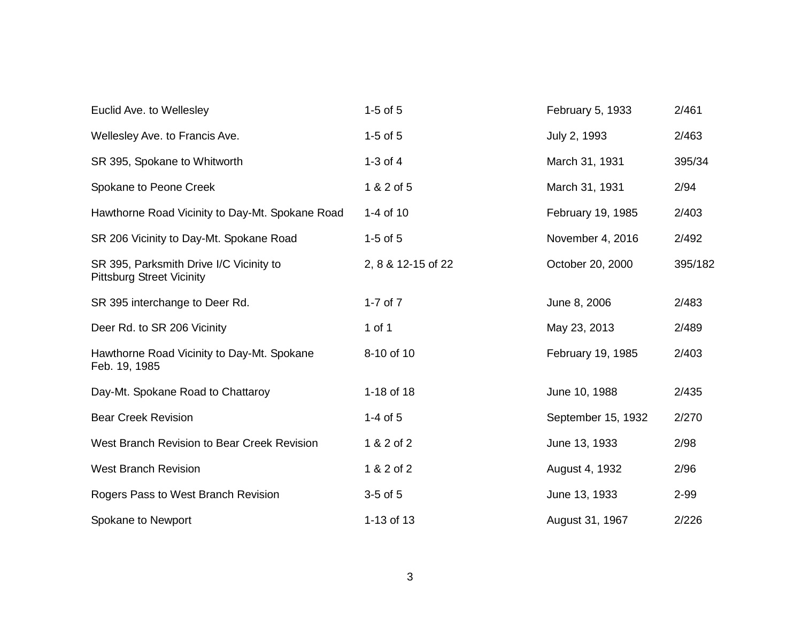| Euclid Ave. to Wellesley                                                    | $1-5$ of $5$       | February 5, 1933   | 2/461   |
|-----------------------------------------------------------------------------|--------------------|--------------------|---------|
| Wellesley Ave. to Francis Ave.                                              | $1-5$ of $5$       | July 2, 1993       | 2/463   |
| SR 395, Spokane to Whitworth                                                | 1-3 of $4$         | March 31, 1931     | 395/34  |
| Spokane to Peone Creek                                                      | 1 & 2 of 5         | March 31, 1931     | 2/94    |
| Hawthorne Road Vicinity to Day-Mt. Spokane Road                             | 1-4 of 10          | February 19, 1985  | 2/403   |
| SR 206 Vicinity to Day-Mt. Spokane Road                                     | $1-5$ of $5$       | November 4, 2016   | 2/492   |
| SR 395, Parksmith Drive I/C Vicinity to<br><b>Pittsburg Street Vicinity</b> | 2, 8 & 12-15 of 22 | October 20, 2000   | 395/182 |
| SR 395 interchange to Deer Rd.                                              | 1-7 of $7$         | June 8, 2006       | 2/483   |
| Deer Rd. to SR 206 Vicinity                                                 | 1 of 1             | May 23, 2013       | 2/489   |
| Hawthorne Road Vicinity to Day-Mt. Spokane<br>Feb. 19, 1985                 | 8-10 of 10         | February 19, 1985  | 2/403   |
| Day-Mt. Spokane Road to Chattaroy                                           | 1-18 of 18         | June 10, 1988      | 2/435   |
| <b>Bear Creek Revision</b>                                                  | $1-4$ of 5         | September 15, 1932 | 2/270   |
| West Branch Revision to Bear Creek Revision                                 | 1 & 2 of 2         | June 13, 1933      | 2/98    |
| <b>West Branch Revision</b>                                                 | 1 & 2 of 2         | August 4, 1932     | 2/96    |
| Rogers Pass to West Branch Revision                                         | $3-5$ of $5$       | June 13, 1933      | 2-99    |
| Spokane to Newport                                                          | 1-13 of 13         | August 31, 1967    | 2/226   |